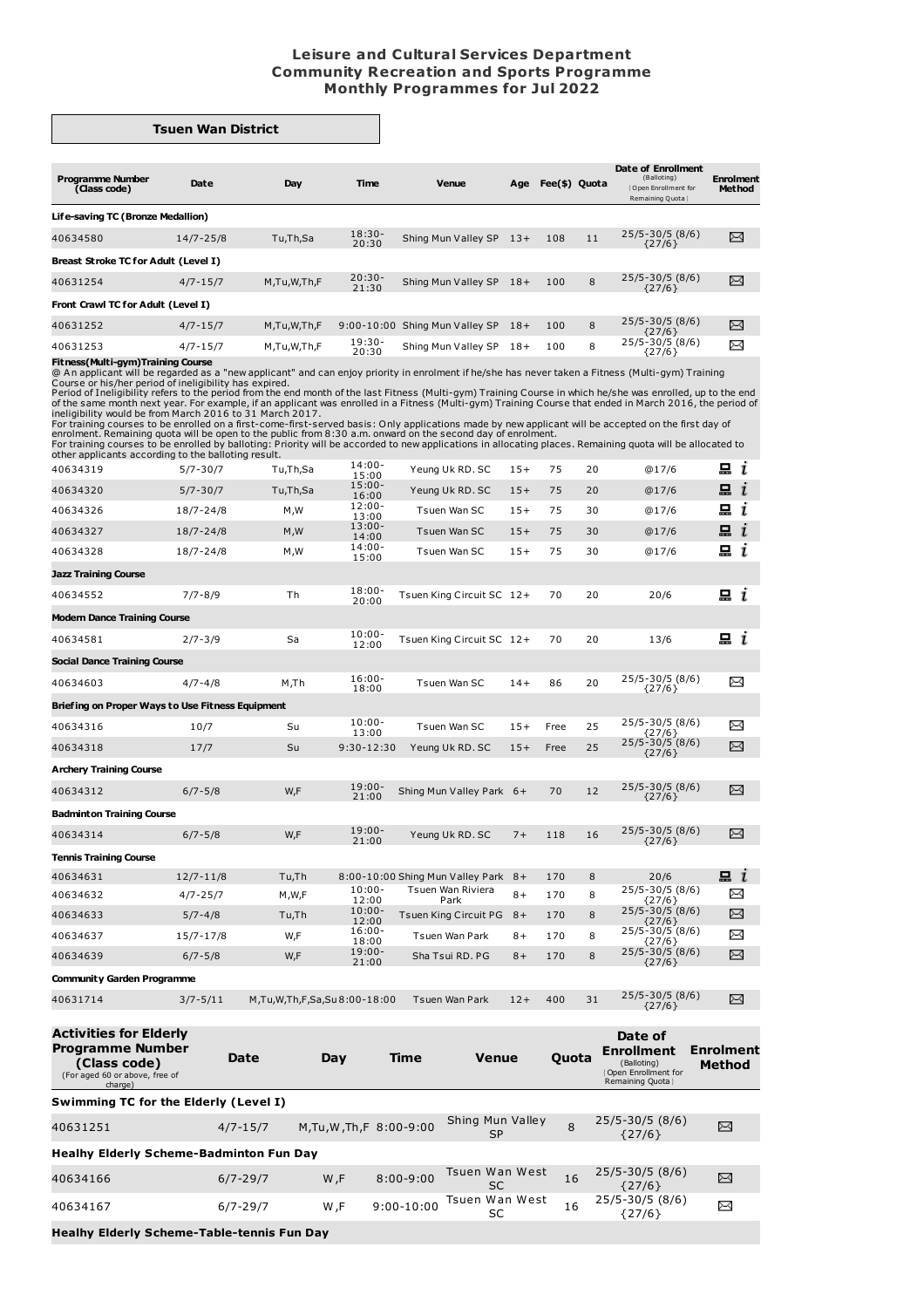## **Leisure and Cultural Services Department Community Recreation and Sports Programme Monthly Programmes for Jul 2022**

## **Tsuen Wan District**

| Date                                 | Day         | <b>Time</b>        | <b>Venue</b>        | Age            |                                                             |    | Date of Enrollment<br>(Balloting)<br>Open Enrollment for<br>Remaining Quota | <b>Enrolment</b><br><b>Method</b> |  |
|--------------------------------------|-------------|--------------------|---------------------|----------------|-------------------------------------------------------------|----|-----------------------------------------------------------------------------|-----------------------------------|--|
| Life-saving TC (Bronze Medallion)    |             |                    |                     |                |                                                             |    |                                                                             |                                   |  |
| 14/7-25/8                            | Tu,Th,Sa    | $18:30-$<br>20:30  |                     |                | 108                                                         | 11 | $25/5 - 30/5$ (8/6)<br>${27/6}$                                             | X                                 |  |
| Breast Stroke TC for Adult (Level I) |             |                    |                     |                |                                                             |    |                                                                             |                                   |  |
| $4/7 - 15/7$                         | M,Tu,W,Th,F | $20:30 -$<br>21:30 |                     |                | 100                                                         | 8  | $25/5 - 30/5$ (8/6)<br>${27/6}$                                             | X                                 |  |
| Front Crawl TC for Adult (Level I)   |             |                    |                     |                |                                                             |    |                                                                             |                                   |  |
| $4/7 - 15/7$                         | M,Tu,W,Th,F |                    | Shing Mun Valley SP |                | 100                                                         | 8  | $25/5 - 30/5$ (8/6)                                                         | X                                 |  |
| $4/7 - 15/7$                         | M,Tu,W,Th,F | $19:30-$<br>20:30  | Shing Mun Valley SP | $18+$          | 100                                                         | 8  | $25/5 - 30/5$ (8/6)<br>${27/6}$                                             | X                                 |  |
|                                      |             |                    |                     | $9:00 - 10:00$ | Shing Mun Valley SP 13+<br>Shing Mun Valley SP 18+<br>$18+$ |    | Fee(\$) Quota                                                               | ${27/6}$                          |  |

**Fitness(Multi-gym)Training Course**<br>
Course or his/her personded as a "new applicant" and can enjoy priority in enrolment if he/she has never taken a Fitness (Multi-gym) Training<br>
Course or his/her period of ineligibility

| 40634319                                         | $5/7 - 30/7$  | Tu,Th,Sa  | 14:00-<br>15:00    | Yeung Uk RD. SC                     | $15+$ | 75   | 20 | @17/6                           | 묘<br>$\mathbf{r}$ |
|--------------------------------------------------|---------------|-----------|--------------------|-------------------------------------|-------|------|----|---------------------------------|-------------------|
| 40634320                                         | $5/7 - 30/7$  | Tu,Th,Sa  | $15:00 -$<br>16:00 | Yeung Uk RD. SC                     | $15+$ | 75   | 20 | @17/6                           | $\mathbf{a}$ i    |
| 40634326                                         | $18/7 - 24/8$ | M, M      | $12:00 -$<br>13:00 | Tsuen Wan SC                        | $15+$ | 75   | 30 | @17/6                           | $\Xi$ $i$         |
| 40634327                                         | $18/7 - 24/8$ | M, W      | $13:00 -$<br>14:00 | Tsuen Wan SC                        | $15+$ | 75   | 30 | @17/6                           | $\mathbf{a}$ i    |
| 40634328                                         | $18/7 - 24/8$ | M, M      | $14:00 -$<br>15:00 | Tsuen Wan SC                        | $15+$ | 75   | 30 | @17/6                           | $\Xi$ i           |
| <b>Jazz Training Course</b>                      |               |           |                    |                                     |       |      |    |                                 |                   |
| 40634552                                         | $7/7 - 8/9$   | <b>Th</b> | $18:00 -$<br>20:00 | Tsuen King Circuit SC 12+           |       | 70   | 20 | 20/6                            | 묘 i               |
| <b>Modern Dance Training Course</b>              |               |           |                    |                                     |       |      |    |                                 |                   |
| 40634581                                         | $2/7 - 3/9$   | Sa        | $10:00 -$<br>12:00 | Tsuen King Circuit SC 12+           |       | 70   | 20 | 13/6                            | $\Xi$ i           |
| <b>Social Dance Training Course</b>              |               |           |                    |                                     |       |      |    |                                 |                   |
| 40634603                                         | $4/7 - 4/8$   | M.Th      | $16:00 -$<br>18:00 | Tsuen Wan SC                        | $14+$ | 86   | 20 | 25/5-30/5 (8/6)<br>${27/6}$     | X                 |
| Briefing on Proper Ways to Use Fitness Equipment |               |           |                    |                                     |       |      |    |                                 |                   |
| 40634316                                         | 10/7          | Su        | $10:00 -$<br>13:00 | Tsuen Wan SC                        | $15+$ | Free | 25 | 25/5-30/5 (8/6)<br>${27/6}$     | ⊠                 |
| 40634318                                         | 17/7          | Su        | 9:30-12:30         | Yeung Uk RD. SC                     | $15+$ | Free | 25 | $25/5 - 30/5$ (8/6)<br>${27/6}$ | X                 |
| <b>Archery Training Course</b>                   |               |           |                    |                                     |       |      |    |                                 |                   |
| 40634312                                         | $6/7 - 5/8$   | W,F       | $19:00 -$<br>21:00 | Shing Mun Valley Park 6+            |       | 70   | 12 | $25/5 - 30/5$ (8/6)<br>${27/6}$ | X                 |
| <b>Badminton Training Course</b>                 |               |           |                    |                                     |       |      |    |                                 |                   |
| 40634314                                         | $6/7 - 5/8$   | W,F       | $19:00 -$<br>21:00 | Yeung Uk RD. SC                     | $7+$  | 118  | 16 | $25/5 - 30/5$ (8/6)<br>${27/6}$ | X                 |
| <b>Tennis Training Course</b>                    |               |           |                    |                                     |       |      |    |                                 |                   |
| 40634631                                         | $12/7 - 11/8$ | Tu,Th     |                    | 8:00-10:00 Shing Mun Valley Park 8+ |       | 170  | 8  | 20/6                            | $\mathbf{a}$ i    |
| 40634632                                         | $4/7 - 25/7$  | M,W,F     | $10:00 -$<br>12:00 | Tsuen Wan Riviera<br>Park           | $8+$  | 170  | 8  | 25/5-30/5 (8/6)<br>${27/6}$     | X                 |
| 40634633                                         | $5/7 - 4/8$   | Tu,Th     | $10:00 -$<br>12:00 | Tsuen King Circuit PG 8+            |       | 170  | 8  | $25/5 - 30/5$ (8/6)<br>${27/6}$ | X                 |
| 40634637                                         | $15/7 - 17/8$ | W,F       | $16:00 -$<br>18:00 | Tsuen Wan Park                      | $8+$  | 170  | 8  | 25/5-30/5 (8/6)<br>${27/6}$     | X                 |
| 40634639                                         | $6/7 - 5/8$   | W,F       | $19:00 -$<br>21:00 | Sha Tsui RD. PG                     | $8+$  | 170  | 8  | $25/5 - 30/5$ (8/6)<br>${27/6}$ | χ                 |
| <b>Community Garden Programme</b>                |               |           |                    |                                     |       |      |    |                                 |                   |
|                                                  |               |           |                    |                                     |       |      |    | $75/5 - 30/5 (8/6)$             | $\sim$            |

40631714 3/7-5/11 M,Tu,W,Th,F,Sa,Su 8:00-18:00 Tsuen Wan Park 12+ 400 31 25/5-30/5 (8/6) {27/6}  $\boxtimes$ **Activities for Elderly Date of Programme Number Enrollment Enrolment Date Day Time Venue Quota (Class code)** (For aged 60 or above, free of charge) (Balloting) {Open Enrollment for Remaining Quota} **Method**

| Swimming TC for the Elderly (Level I)             |              |                       |                |                               |    |                             |   |  |  |  |
|---------------------------------------------------|--------------|-----------------------|----------------|-------------------------------|----|-----------------------------|---|--|--|--|
| 40631251                                          | $4/7 - 15/7$ | M,Tu,W,Th,F 8:00-9:00 |                | Shing Mun Valley<br><b>SP</b> | 8  | 25/5-30/5 (8/6)<br>{27/6}   | ⊠ |  |  |  |
| <b>Healhy Elderly Scheme-Badminton Fun Day</b>    |              |                       |                |                               |    |                             |   |  |  |  |
| 40634166                                          | $6/7 - 29/7$ | W.F                   | $8:00 - 9:00$  | Tsuen Wan West<br>SC          | 16 | 25/5-30/5 (8/6)<br>{27/6}   | X |  |  |  |
| 40634167                                          | $6/7 - 29/7$ | W.F                   | $9:00 - 10:00$ | Tsuen Wan West                | 16 | 25/5-30/5 (8/6)<br>${27/6}$ | ⊠ |  |  |  |
| <b>Healhy Elderly Scheme-Table-tennis Fun Day</b> |              |                       |                |                               |    |                             |   |  |  |  |